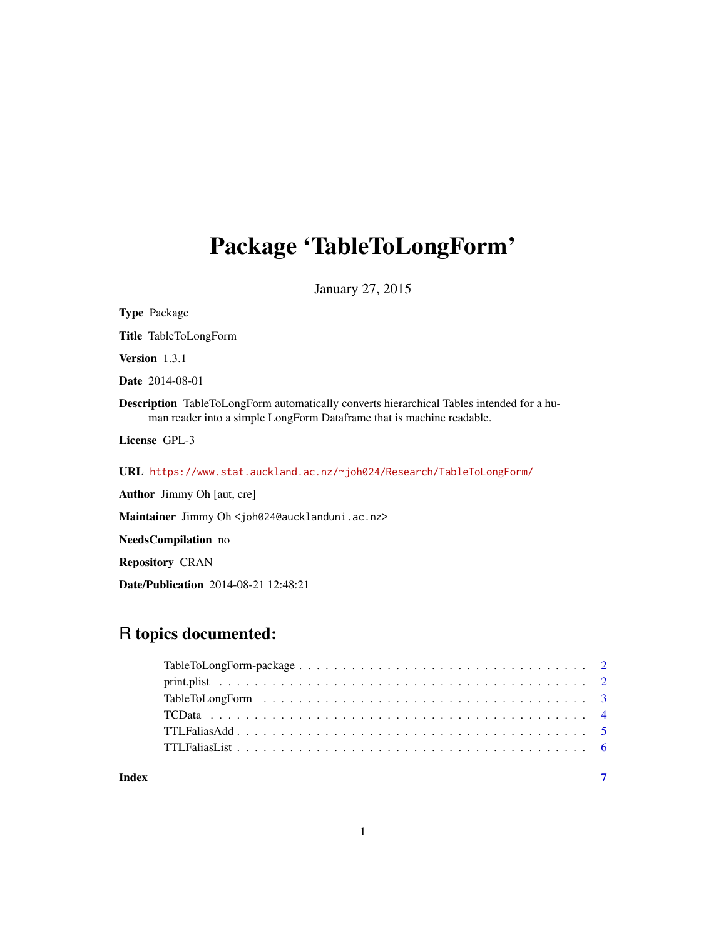# Package 'TableToLongForm'

January 27, 2015

| <b>Type Package</b>                                                                                                                                                       |
|---------------------------------------------------------------------------------------------------------------------------------------------------------------------------|
| <b>Title</b> TableToLongForm                                                                                                                                              |
| <b>Version</b> $1.3.1$                                                                                                                                                    |
| <b>Date</b> 2014-08-01                                                                                                                                                    |
| <b>Description</b> TableToLongForm automatically converts hierarchical Tables intended for a hu-<br>man reader into a simple LongForm Dataframe that is machine readable. |
| License GPL-3                                                                                                                                                             |
| URL https://www.stat.auckland.ac.nz/~joh024/Research/TableToLongForm/                                                                                                     |
| <b>Author</b> Jimmy Oh [aut, cre]                                                                                                                                         |
| Maintainer Jimmy Oh <joh024@aucklanduni.ac.nz></joh024@aucklanduni.ac.nz>                                                                                                 |
| <b>NeedsCompilation</b> no                                                                                                                                                |
| <b>Repository CRAN</b>                                                                                                                                                    |
| <b>Date/Publication</b> 2014-08-21 12:48:21                                                                                                                               |

# R topics documented:

| Index | $\overline{7}$ |
|-------|----------------|

# 1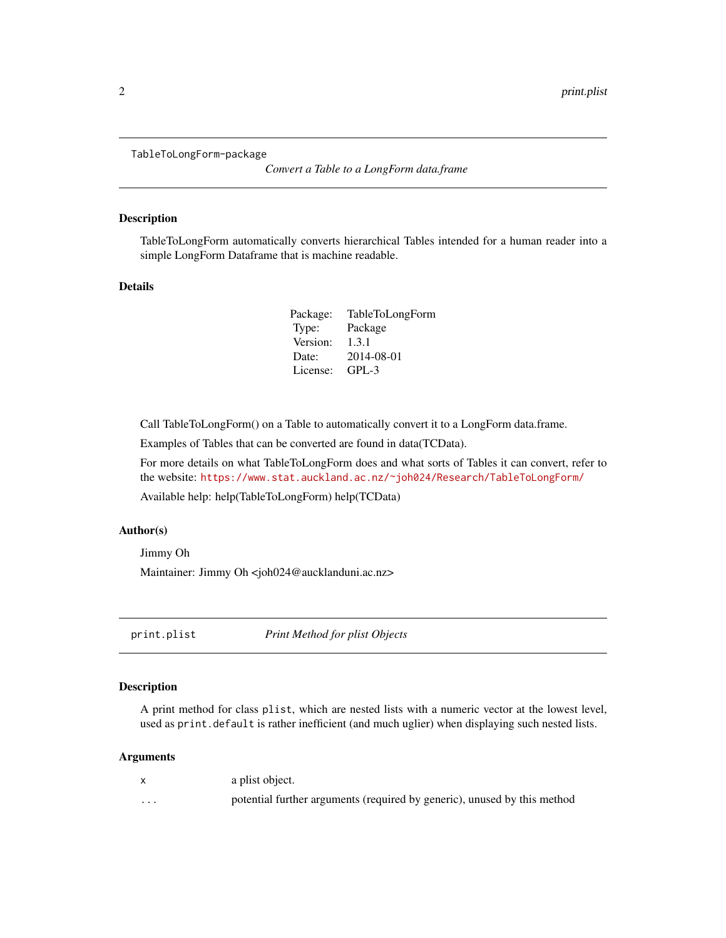<span id="page-1-0"></span>TableToLongForm-package

*Convert a Table to a LongForm data.frame*

#### Description

TableToLongForm automatically converts hierarchical Tables intended for a human reader into a simple LongForm Dataframe that is machine readable.

#### Details

| Package: | TableToLongForm |
|----------|-----------------|
| Type:    | Package         |
| Version: | 1.3.1           |
| Date:    | 2014-08-01      |
| License: | $GPL-3$         |

Call TableToLongForm() on a Table to automatically convert it to a LongForm data.frame.

Examples of Tables that can be converted are found in data(TCData).

For more details on what TableToLongForm does and what sorts of Tables it can convert, refer to the website: <https://www.stat.auckland.ac.nz/~joh024/Research/TableToLongForm/>

Available help: help(TableToLongForm) help(TCData)

#### Author(s)

Jimmy Oh

Maintainer: Jimmy Oh <joh024@aucklanduni.ac.nz>

print.plist *Print Method for plist Objects*

#### Description

A print method for class plist, which are nested lists with a numeric vector at the lowest level, used as print.default is rather inefficient (and much uglier) when displaying such nested lists.

#### Arguments

x a plist object. ... potential further arguments (required by generic), unused by this method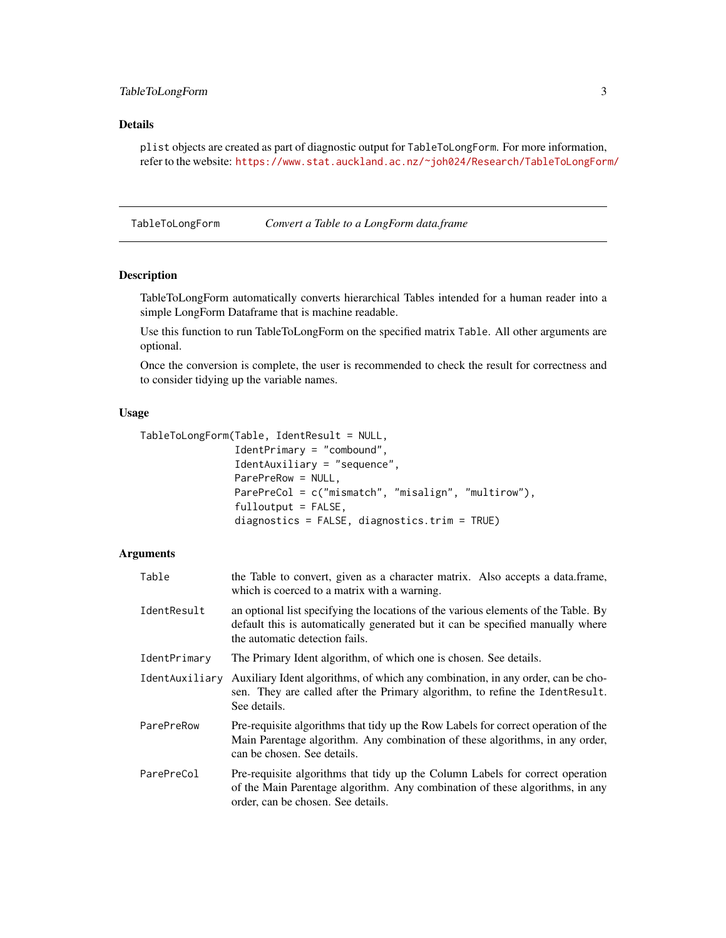## <span id="page-2-0"></span>TableToLongForm 3

#### Details

plist objects are created as part of diagnostic output for TableToLongForm. For more information, refer to the website: <https://www.stat.auckland.ac.nz/~joh024/Research/TableToLongForm/>

TableToLongForm *Convert a Table to a LongForm data.frame*

#### Description

TableToLongForm automatically converts hierarchical Tables intended for a human reader into a simple LongForm Dataframe that is machine readable.

Use this function to run TableToLongForm on the specified matrix Table. All other arguments are optional.

Once the conversion is complete, the user is recommended to check the result for correctness and to consider tidying up the variable names.

## Usage

```
TableToLongForm(Table, IdentResult = NULL,
    IdentPrimary = "combound",
    IdentAuxiliary = "sequence",
    ParePreRow = NULL,
    ParePreCol = c("mismatch", "misalign", "multirow"),
    fulloutput = FALSE,
    diagnostics = FALSE, diagnostics.trim = TRUE)
```
## Arguments

| Table          | the Table to convert, given as a character matrix. Also accepts a data.frame,<br>which is coerced to a matrix with a warning.                                                                          |
|----------------|--------------------------------------------------------------------------------------------------------------------------------------------------------------------------------------------------------|
| IdentResult    | an optional list specifying the locations of the various elements of the Table. By<br>default this is automatically generated but it can be specified manually where<br>the automatic detection fails. |
| IdentPrimary   | The Primary Ident algorithm, of which one is chosen. See details.                                                                                                                                      |
| IdentAuxiliary | Auxiliary Ident algorithms, of which any combination, in any order, can be cho-<br>sen. They are called after the Primary algorithm, to refine the IdentResult.<br>See details.                        |
| ParePreRow     | Pre-requisite algorithms that tidy up the Row Labels for correct operation of the<br>Main Parentage algorithm. Any combination of these algorithms, in any order,<br>can be chosen. See details.       |
| ParePreCol     | Pre-requisite algorithms that tidy up the Column Labels for correct operation<br>of the Main Parentage algorithm. Any combination of these algorithms, in any<br>order, can be chosen. See details.    |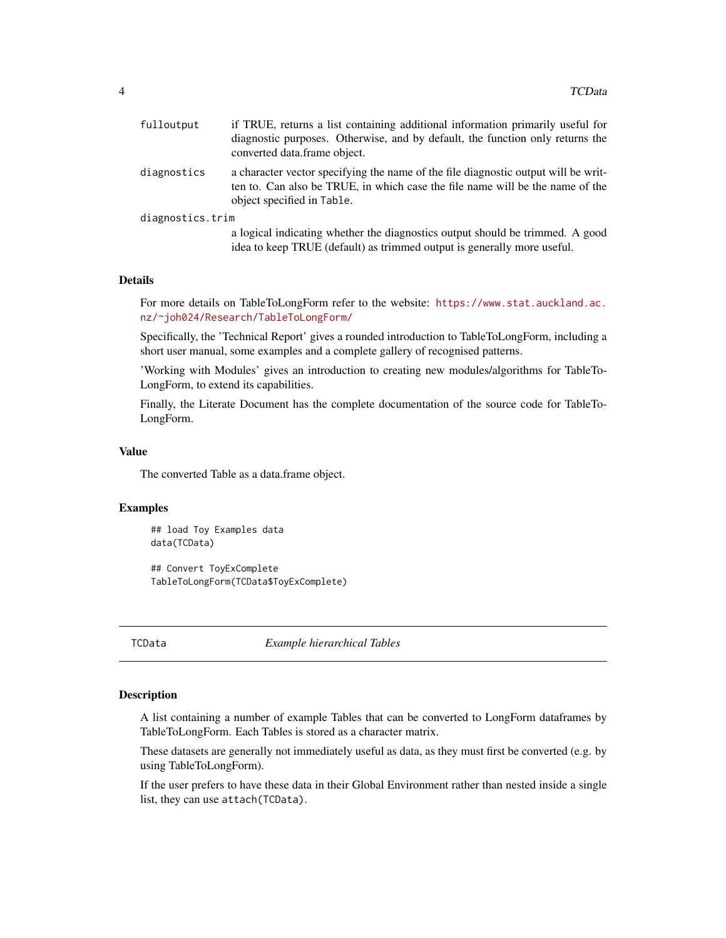<span id="page-3-0"></span>

| fulloutput       | if TRUE, returns a list containing additional information primarily useful for<br>diagnostic purposes. Otherwise, and by default, the function only returns the<br>converted data frame object.   |
|------------------|---------------------------------------------------------------------------------------------------------------------------------------------------------------------------------------------------|
| diagnostics      | a character vector specifying the name of the file diagnostic output will be writ-<br>ten to. Can also be TRUE, in which case the file name will be the name of the<br>object specified in Table. |
| diagnostics.trim |                                                                                                                                                                                                   |
|                  | a logical indicating whether the diagnostics output should be trimmed. A good<br>idea to keep TRUE (default) as trimmed output is generally more useful.                                          |

#### Details

For more details on TableToLongForm refer to the website: [https://www.stat.auckland.ac.](https://www.stat.auckland.ac.nz/~joh024/Research/TableToLongForm/) [nz/~joh024/Research/TableToLongForm/](https://www.stat.auckland.ac.nz/~joh024/Research/TableToLongForm/)

Specifically, the 'Technical Report' gives a rounded introduction to TableToLongForm, including a short user manual, some examples and a complete gallery of recognised patterns.

'Working with Modules' gives an introduction to creating new modules/algorithms for TableTo-LongForm, to extend its capabilities.

Finally, the Literate Document has the complete documentation of the source code for TableTo-LongForm.

#### Value

The converted Table as a data.frame object.

#### Examples

## load Toy Examples data data(TCData)

## Convert ToyExComplete TableToLongForm(TCData\$ToyExComplete)

TCData *Example hierarchical Tables*

#### Description

A list containing a number of example Tables that can be converted to LongForm dataframes by TableToLongForm. Each Tables is stored as a character matrix.

These datasets are generally not immediately useful as data, as they must first be converted (e.g. by using TableToLongForm).

If the user prefers to have these data in their Global Environment rather than nested inside a single list, they can use attach(TCData).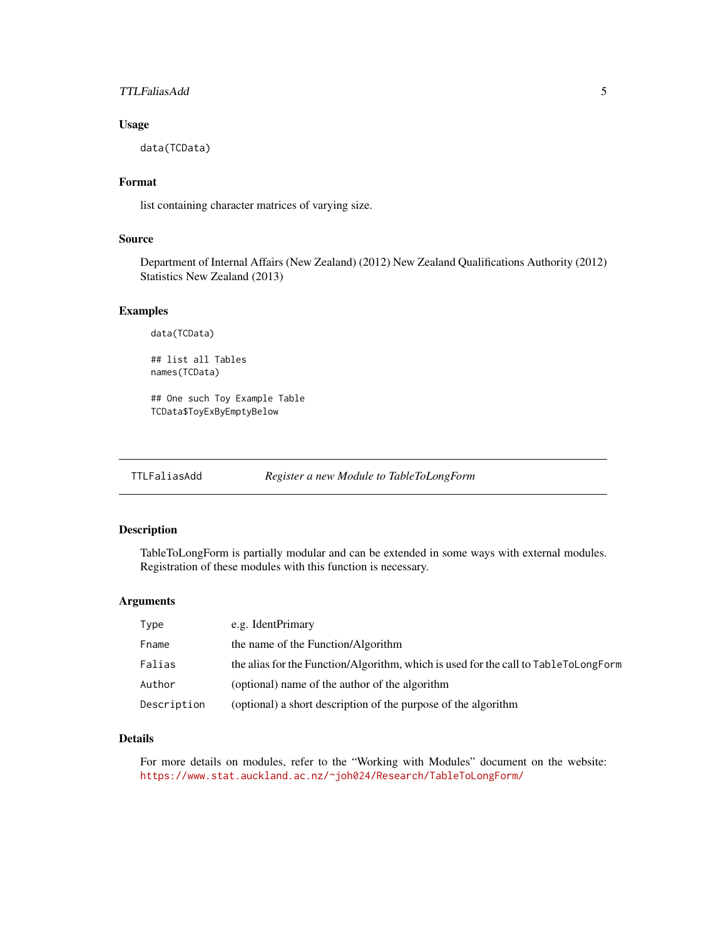#### <span id="page-4-0"></span>TTLFaliasAdd 5

#### Usage

data(TCData)

# Format

list containing character matrices of varying size.

#### Source

Department of Internal Affairs (New Zealand) (2012) New Zealand Qualifications Authority (2012) Statistics New Zealand (2013)

## Examples

data(TCData)

## list all Tables names(TCData)

## One such Toy Example Table TCData\$ToyExByEmptyBelow

TTLFaliasAdd *Register a new Module to TableToLongForm*

#### Description

TableToLongForm is partially modular and can be extended in some ways with external modules. Registration of these modules with this function is necessary.

#### Arguments

| Type        | e.g. IdentPrimary                                                                   |
|-------------|-------------------------------------------------------------------------------------|
| Fname       | the name of the Function/Algorithm                                                  |
| Falias      | the alias for the Function/Algorithm, which is used for the call to TableToLongForm |
| Author      | (optional) name of the author of the algorithm                                      |
| Description | (optional) a short description of the purpose of the algorithm                      |

#### Details

For more details on modules, refer to the "Working with Modules" document on the website: <https://www.stat.auckland.ac.nz/~joh024/Research/TableToLongForm/>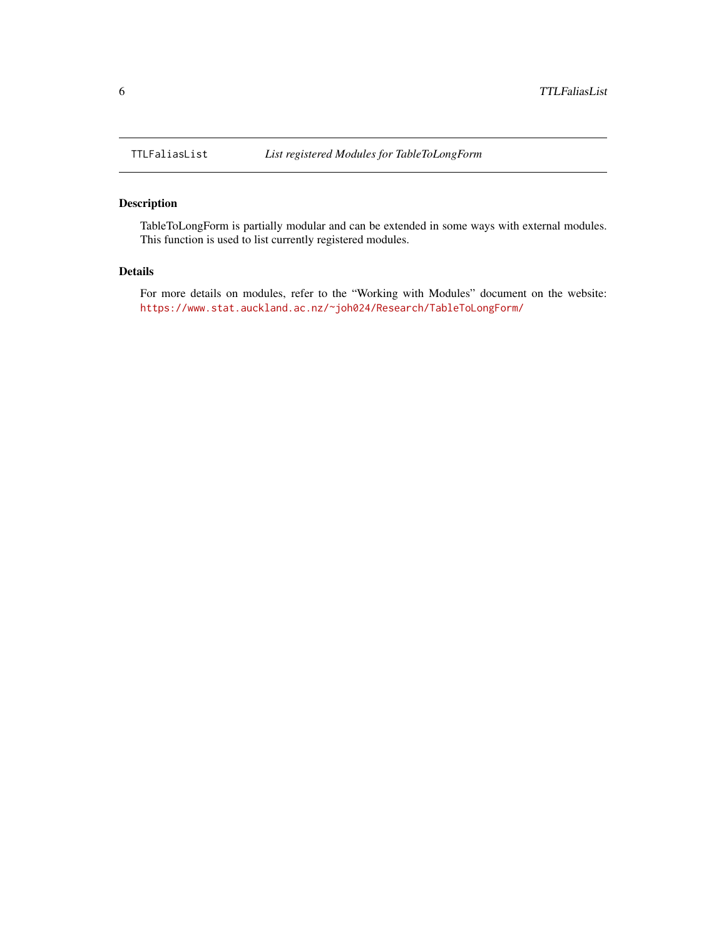## Description

TableToLongForm is partially modular and can be extended in some ways with external modules. This function is used to list currently registered modules.

#### Details

For more details on modules, refer to the "Working with Modules" document on the website: <https://www.stat.auckland.ac.nz/~joh024/Research/TableToLongForm/>